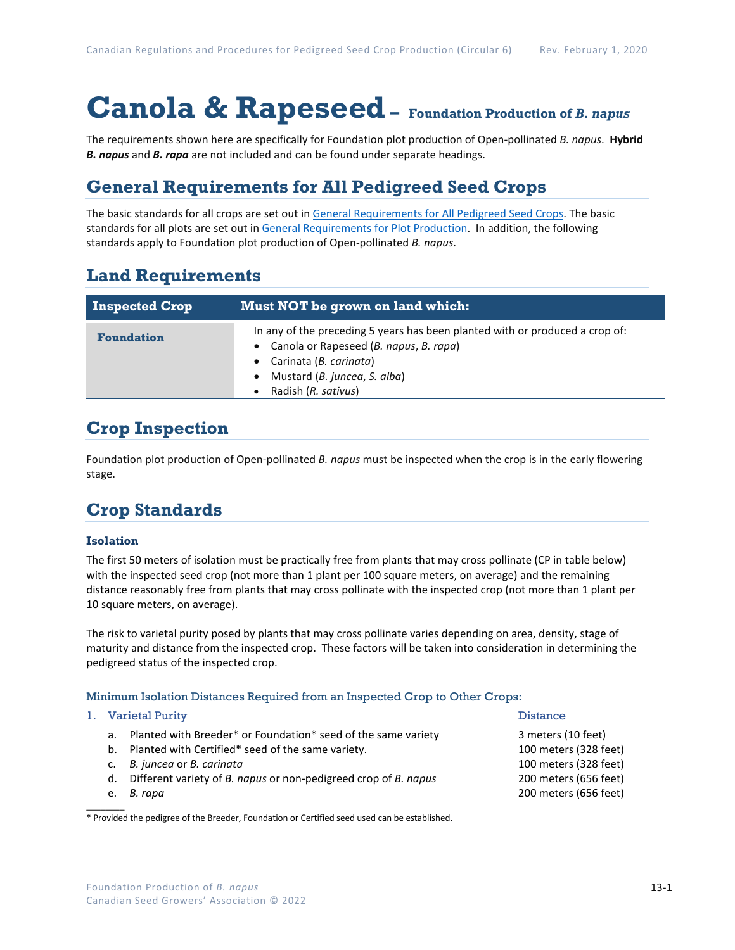# **Canola & Rapeseed– Foundation Production of** *B. napus*

The requirements shown here are specifically for Foundation plot production of Open-pollinated *B. napus*. **Hybrid**  *B. napus* and *B. rapa* are not included and can be found under separate headings.

### **General Requirements for All Pedigreed Seed Crops**

The basic standards for all crops are set out i[n General Requirements for All Pedigreed Seed](https://seedgrowers.ca/wp-content/uploads/2020/01/GENERAL-REQUIREMENTS-ALL-CROPS_EN.pdf) Crops. The basic standards for all plots are set out i[n General Requirements for Plot Production.](https://seedgrowers.ca/wp-content/uploads/2020/01/GENERAL-REQUIREMENTS-PLOTS_EN.pdf) In addition, the following standards apply to Foundation plot production of Open-pollinated *B. napus*.

### **Land Requirements**

| <b>Inspected Crop</b> | Must NOT be grown on land which:                                                                                                                                                                          |  |  |  |  |
|-----------------------|-----------------------------------------------------------------------------------------------------------------------------------------------------------------------------------------------------------|--|--|--|--|
| <b>Foundation</b>     | In any of the preceding 5 years has been planted with or produced a crop of:<br>Canola or Rapeseed (B. napus, B. rapa)<br>• Carinata (B. carinata)<br>Mustard (B. juncea, S. alba)<br>Radish (R. sativus) |  |  |  |  |

## **Crop Inspection**

Foundation plot production of Open-pollinated *B. napus* must be inspected when the crop is in the early flowering stage.

## **Crop Standards**

### **Isolation**

The first 50 meters of isolation must be practically free from plants that may cross pollinate (CP in table below) with the inspected seed crop (not more than 1 plant per 100 square meters, on average) and the remaining distance reasonably free from plants that may cross pollinate with the inspected crop (not more than 1 plant per 10 square meters, on average).

The risk to varietal purity posed by plants that may cross pollinate varies depending on area, density, stage of maturity and distance from the inspected crop. These factors will be taken into consideration in determining the pedigreed status of the inspected crop.

### Minimum Isolation Distances Required from an Inspected Crop to Other Crops:

### 1. Varietal Purity **Distance International Purity Property** of the United States of the Distance

- a. Planted with Breeder\* or Foundation\* seed of the same variety 3 meters (10 feet)
- b. Planted with Certified\* seed of the same variety. 100 meters (328 feet)
- c. *B. juncea* or *B. carinata* 100 meters (328 feet)
- d. Different variety of *B. napus* or non-pedigreed crop of *B. napus* 200 meters (656 feet)
- 

 $\overline{\phantom{a}}$ 

\* Provided the pedigree of the Breeder, Foundation or Certified seed used can be established.

e. *B. rapa* 200 meters (656 feet)